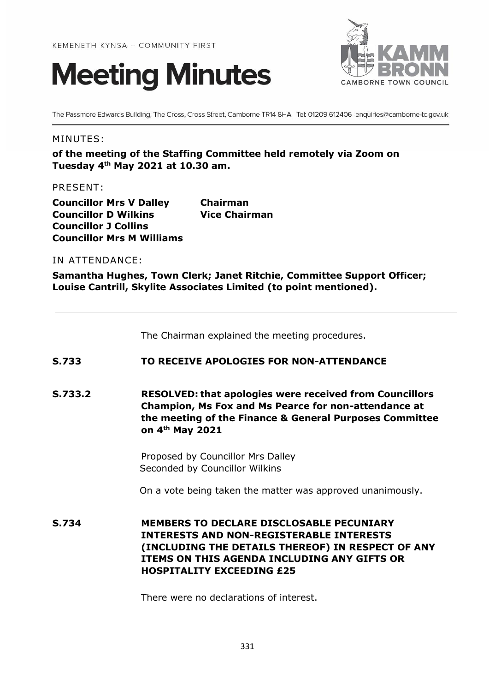



The Passmore Edwards Building, The Cross, Cross Street, Camborne TR14 8HA Tel: 01209 612406 enquiries@camborne-tc.gov.uk

## MINUTES:

**of the meeting of the Staffing Committee held remotely via Zoom on Tuesday 4 th May 2021 at 10.30 am.**

PRESENT:

**Councillor Mrs V Dalley Chairman Councillor D Wilkins Vice Chairman Councillor J Collins Councillor Mrs M Williams**

## IN ATTENDANCE:

**Samantha Hughes, Town Clerk; Janet Ritchie, Committee Support Officer; Louise Cantrill, Skylite Associates Limited (to point mentioned).**

The Chairman explained the meeting procedures.

# **S.733 TO RECEIVE APOLOGIES FOR NON-ATTENDANCE**

**S.733.2 RESOLVED: that apologies were received from Councillors Champion, Ms Fox and Ms Pearce for non-attendance at the meeting of the Finance & General Purposes Committee on 4th May 2021**

> Proposed by Councillor Mrs Dalley Seconded by Councillor Wilkins

On a vote being taken the matter was approved unanimously.

**S.734 MEMBERS TO DECLARE DISCLOSABLE PECUNIARY INTERESTS AND NON-REGISTERABLE INTERESTS (INCLUDING THE DETAILS THEREOF) IN RESPECT OF ANY ITEMS ON THIS AGENDA INCLUDING ANY GIFTS OR HOSPITALITY EXCEEDING £25**

There were no declarations of interest.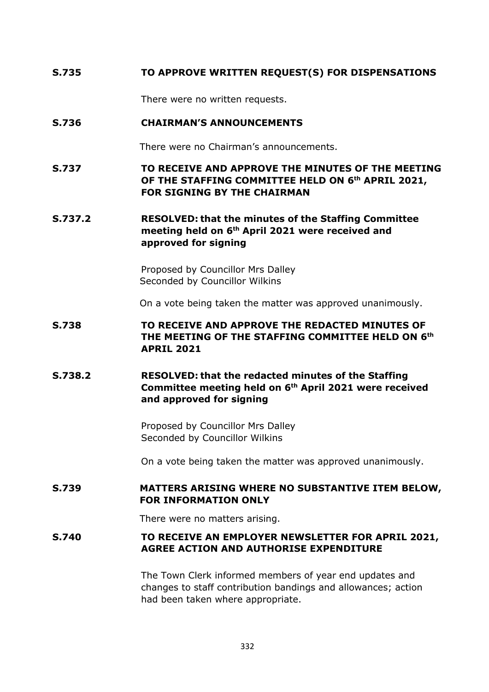# **S.735 TO APPROVE WRITTEN REQUEST(S) FOR DISPENSATIONS**

There were no written requests.

## **S.736 CHAIRMAN'S ANNOUNCEMENTS**

There were no Chairman's announcements.

- **S.737 TO RECEIVE AND APPROVE THE MINUTES OF THE MEETING OF THE STAFFING COMMITTEE HELD ON 6 th APRIL 2021, FOR SIGNING BY THE CHAIRMAN**
- **S.737.2 RESOLVED: that the minutes of the Staffing Committee meeting held on 6 th April 2021 were received and approved for signing**

Proposed by Councillor Mrs Dalley Seconded by Councillor Wilkins

On a vote being taken the matter was approved unanimously.

- **S.738 TO RECEIVE AND APPROVE THE REDACTED MINUTES OF THE MEETING OF THE STAFFING COMMITTEE HELD ON 6 th APRIL 2021**
- **S.738.2 RESOLVED: that the redacted minutes of the Staffing Committee meeting held on 6th April 2021 were received and approved for signing**

Proposed by Councillor Mrs Dalley Seconded by Councillor Wilkins

On a vote being taken the matter was approved unanimously.

# **S.739 MATTERS ARISING WHERE NO SUBSTANTIVE ITEM BELOW, FOR INFORMATION ONLY**

There were no matters arising.

## **S.740 TO RECEIVE AN EMPLOYER NEWSLETTER FOR APRIL 2021, AGREE ACTION AND AUTHORISE EXPENDITURE**

The Town Clerk informed members of year end updates and changes to staff contribution bandings and allowances; action had been taken where appropriate.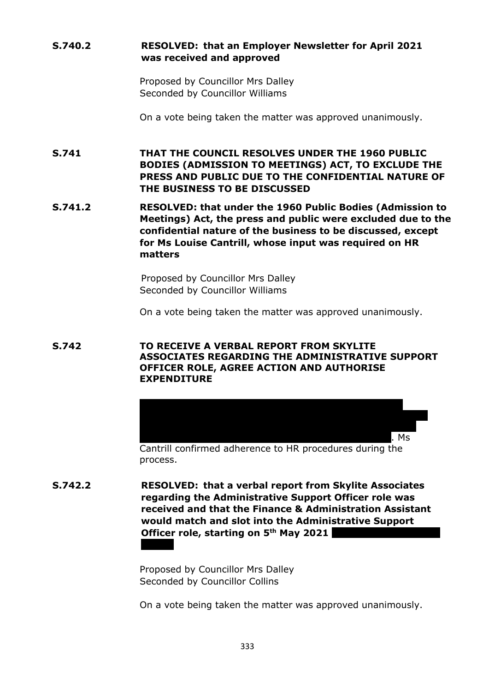# **S.740.2 RESOLVED: that an Employer Newsletter for April 2021 was received and approved**

Proposed by Councillor Mrs Dalley Seconded by Councillor Williams

On a vote being taken the matter was approved unanimously.

**S.741 THAT THE COUNCIL RESOLVES UNDER THE 1960 PUBLIC BODIES (ADMISSION TO MEETINGS) ACT, TO EXCLUDE THE PRESS AND PUBLIC DUE TO THE CONFIDENTIAL NATURE OF THE BUSINESS TO BE DISCUSSED**

**S.741.2 RESOLVED: that under the 1960 Public Bodies (Admission to Meetings) Act, the press and public were excluded due to the confidential nature of the business to be discussed, except for Ms Louise Cantrill, whose input was required on HR matters**

> Proposed by Councillor Mrs Dalley Seconded by Councillor Williams

On a vote being taken the matter was approved unanimously.

**S.742 TO RECEIVE A VERBAL REPORT FROM SKYLITE ASSOCIATES REGARDING THE ADMINISTRATIVE SUPPORT OFFICER ROLE, AGREE ACTION AND AUTHORISE EXPENDITURE**



process.

**S.742.2 RESOLVED: that a verbal report from Skylite Associates regarding the Administrative Support Officer role was received and that the Finance & Administration Assistant would match and slot into the Administrative Support Officer role, starting on 5<sup>th</sup> May 2021** 

> Proposed by Councillor Mrs Dalley Seconded by Councillor Collins

On a vote being taken the matter was approved unanimously.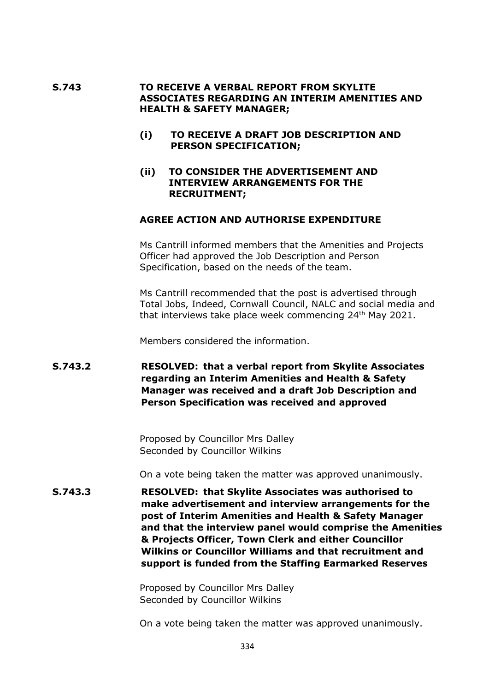## **S.743 TO RECEIVE A VERBAL REPORT FROM SKYLITE ASSOCIATES REGARDING AN INTERIM AMENITIES AND HEALTH & SAFETY MANAGER;**

- **(i) TO RECEIVE A DRAFT JOB DESCRIPTION AND PERSON SPECIFICATION;**
- **(ii) TO CONSIDER THE ADVERTISEMENT AND INTERVIEW ARRANGEMENTS FOR THE RECRUITMENT;**

#### **AGREE ACTION AND AUTHORISE EXPENDITURE**

Ms Cantrill informed members that the Amenities and Projects Officer had approved the Job Description and Person Specification, based on the needs of the team.

Ms Cantrill recommended that the post is advertised through Total Jobs, Indeed, Cornwall Council, NALC and social media and that interviews take place week commencing 24<sup>th</sup> May 2021.

Members considered the information.

**S.743.2 RESOLVED: that a verbal report from Skylite Associates regarding an Interim Amenities and Health & Safety Manager was received and a draft Job Description and Person Specification was received and approved** 

> Proposed by Councillor Mrs Dalley Seconded by Councillor Wilkins

On a vote being taken the matter was approved unanimously.

**S.743.3 RESOLVED: that Skylite Associates was authorised to make advertisement and interview arrangements for the post of Interim Amenities and Health & Safety Manager and that the interview panel would comprise the Amenities & Projects Officer, Town Clerk and either Councillor Wilkins or Councillor Williams and that recruitment and support is funded from the Staffing Earmarked Reserves**

> Proposed by Councillor Mrs Dalley Seconded by Councillor Wilkins

On a vote being taken the matter was approved unanimously.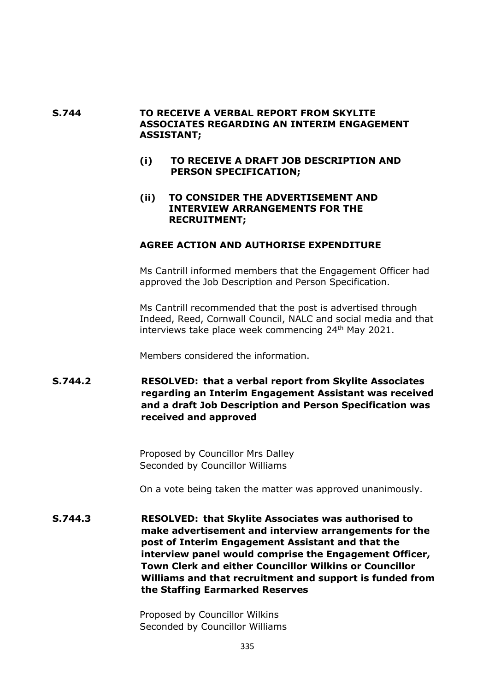## **S.744 TO RECEIVE A VERBAL REPORT FROM SKYLITE ASSOCIATES REGARDING AN INTERIM ENGAGEMENT ASSISTANT;**

- **(i) TO RECEIVE A DRAFT JOB DESCRIPTION AND PERSON SPECIFICATION;**
- **(ii) TO CONSIDER THE ADVERTISEMENT AND INTERVIEW ARRANGEMENTS FOR THE RECRUITMENT;**

## **AGREE ACTION AND AUTHORISE EXPENDITURE**

Ms Cantrill informed members that the Engagement Officer had approved the Job Description and Person Specification.

Ms Cantrill recommended that the post is advertised through Indeed, Reed, Cornwall Council, NALC and social media and that interviews take place week commencing 24<sup>th</sup> May 2021.

Members considered the information.

**S.744.2 RESOLVED: that a verbal report from Skylite Associates regarding an Interim Engagement Assistant was received and a draft Job Description and Person Specification was received and approved** 

> Proposed by Councillor Mrs Dalley Seconded by Councillor Williams

On a vote being taken the matter was approved unanimously.

**S.744.3 RESOLVED: that Skylite Associates was authorised to make advertisement and interview arrangements for the post of Interim Engagement Assistant and that the interview panel would comprise the Engagement Officer, Town Clerk and either Councillor Wilkins or Councillor Williams and that recruitment and support is funded from the Staffing Earmarked Reserves**

> Proposed by Councillor Wilkins Seconded by Councillor Williams